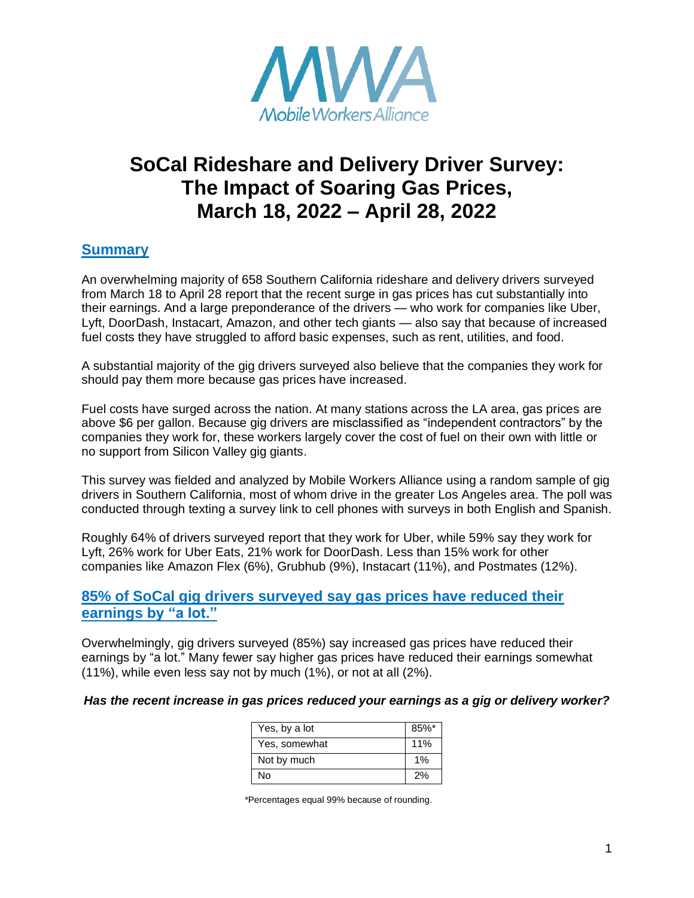

# **SoCal Rideshare and Delivery Driver Survey: The Impact of Soaring Gas Prices, March 18, 2022 – April 28, 2022**

## **Summary**

An overwhelming majority of 658 Southern California rideshare and delivery drivers surveyed from March 18 to April 28 report that the recent surge in gas prices has cut substantially into their earnings. And a large preponderance of the drivers — who work for companies like Uber, Lyft, DoorDash, Instacart, Amazon, and other tech giants — also say that because of increased fuel costs they have struggled to afford basic expenses, such as rent, utilities, and food.

A substantial majority of the gig drivers surveyed also believe that the companies they work for should pay them more because gas prices have increased.

Fuel costs have surged across the nation. At many stations across the LA area, gas prices are above \$6 per gallon. Because gig drivers are misclassified as "independent contractors" by the companies they work for, these workers largely cover the cost of fuel on their own with little or no support from Silicon Valley gig giants.

This survey was fielded and analyzed by Mobile Workers Alliance using a random sample of gig drivers in Southern California, most of whom drive in the greater Los Angeles area. The poll was conducted through texting a survey link to cell phones with surveys in both English and Spanish.

Roughly 64% of drivers surveyed report that they work for Uber, while 59% say they work for Lyft, 26% work for Uber Eats, 21% work for DoorDash. Less than 15% work for other companies like Amazon Flex (6%), Grubhub (9%), Instacart (11%), and Postmates (12%).

## **85% of SoCal gig drivers surveyed say gas prices have reduced their earnings by "a lot."**

Overwhelmingly, gig drivers surveyed (85%) say increased gas prices have reduced their earnings by "a lot." Many fewer say higher gas prices have reduced their earnings somewhat (11%), while even less say not by much (1%), or not at all (2%).

#### *Has the recent increase in gas prices reduced your earnings as a gig or delivery worker?*

| Yes, by a lot | $85%$ * |
|---------------|---------|
| Yes, somewhat | 11%     |
| Not by much   | 1%      |
| N٥            | 2%      |

\*Percentages equal 99% because of rounding.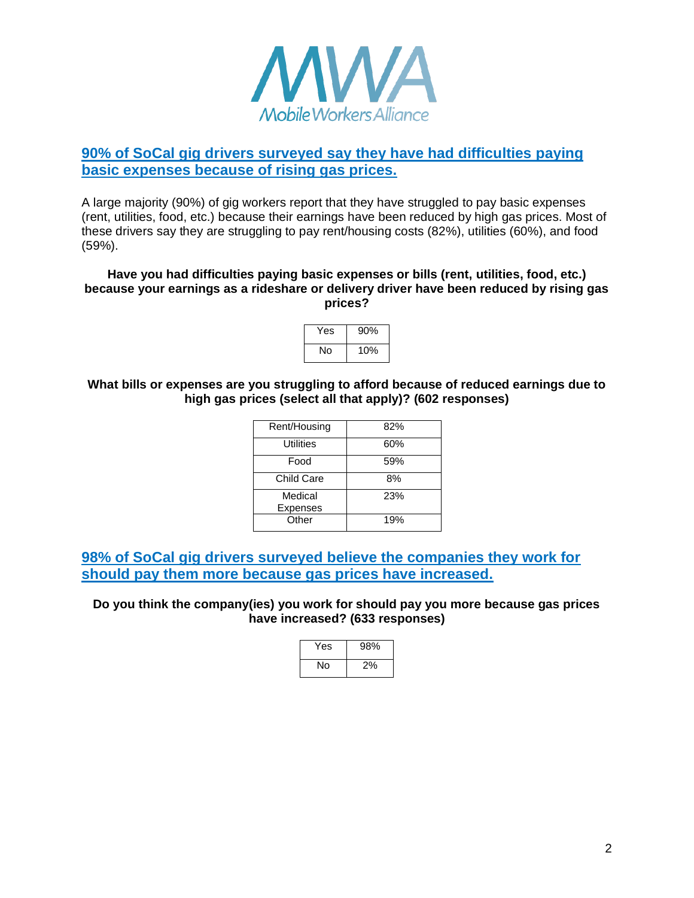

# **90% of SoCal gig drivers surveyed say they have had difficulties paying basic expenses because of rising gas prices.**

A large majority (90%) of gig workers report that they have struggled to pay basic expenses (rent, utilities, food, etc.) because their earnings have been reduced by high gas prices. Most of these drivers say they are struggling to pay rent/housing costs (82%), utilities (60%), and food (59%).

#### **Have you had difficulties paying basic expenses or bills (rent, utilities, food, etc.) because your earnings as a rideshare or delivery driver have been reduced by rising gas prices?**

| Yes | 90% |
|-----|-----|
| No  | 10% |

#### **What bills or expenses are you struggling to afford because of reduced earnings due to high gas prices (select all that apply)? (602 responses)**

| Rent/Housing        | 82% |
|---------------------|-----|
| Utilities           | 60% |
| Food                | 59% |
| Child Care          | 8%  |
| Medical<br>Expenses | 23% |
| Other               | 19% |

**98% of SoCal gig drivers surveyed believe the companies they work for should pay them more because gas prices have increased.** 

#### **Do you think the company(ies) you work for should pay you more because gas prices have increased? (633 responses)**

| Yes | 98% |
|-----|-----|
| N٥  | 2%  |